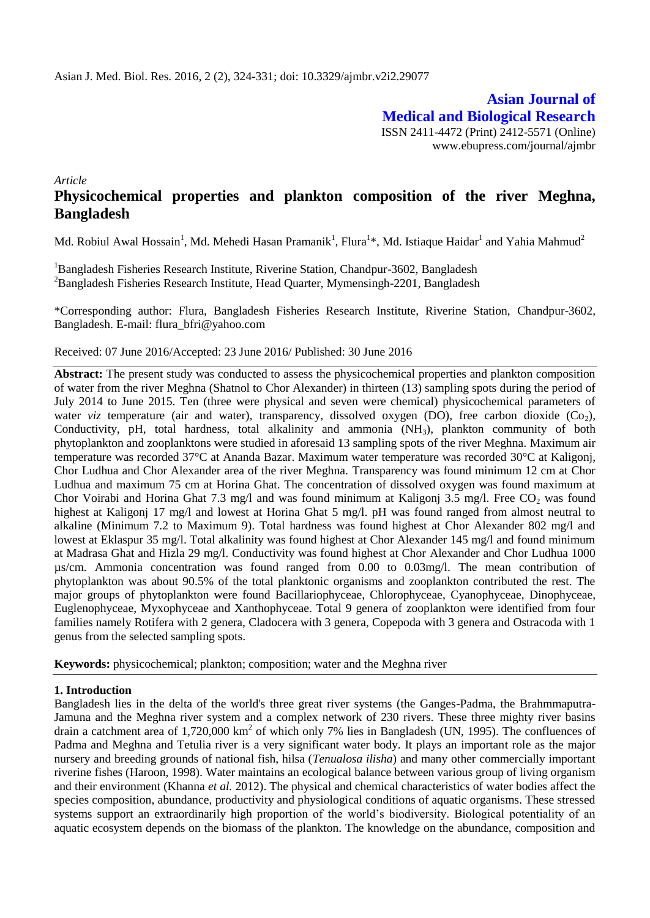**Asian Journal of Medical and Biological Research** ISSN 2411-4472 (Print) 2412-5571 (Online) www.ebupress.com/journal/ajmbr

*Article*

# **Physicochemical properties and plankton composition of the river Meghna, Bangladesh**

Md. Robiul Awal Hossain<sup>1</sup>, Md. Mehedi Hasan Pramanik<sup>1</sup>, Flura<sup>1</sup>\*, Md. Istiaque Haidar<sup>1</sup> and Yahia Mahmud<sup>2</sup>

<sup>1</sup>Bangladesh Fisheries Research Institute, Riverine Station, Chandpur-3602, Bangladesh <sup>2</sup>Bangladesh Fisheries Research Institute, Head Quarter, Mymensingh-2201, Bangladesh

\*Corresponding author: Flura, Bangladesh Fisheries Research Institute, Riverine Station, Chandpur-3602, Bangladesh. E-mail: flura\_bfri@yahoo.com

Received: 07 June 2016/Accepted: 23 June 2016/ Published: 30 June 2016

**Abstract:** The present study was conducted to assess the physicochemical properties and plankton composition of water from the river Meghna (Shatnol to Chor Alexander) in thirteen (13) sampling spots during the period of July 2014 to June 2015. Ten (three were physical and seven were chemical) physicochemical parameters of water *viz* temperature (air and water), transparency, dissolved oxygen (DO), free carbon dioxide (Co<sub>2</sub>), Conductivity, pH, total hardness, total alkalinity and ammonia (NH<sub>3</sub>), plankton community of both phytoplankton and zooplanktons were studied in aforesaid 13 sampling spots of the river Meghna. Maximum air temperature was recorded 37°C at Ananda Bazar. Maximum water temperature was recorded 30°C at Kaligonj, Chor Ludhua and Chor Alexander area of the river Meghna. Transparency was found minimum 12 cm at Chor Ludhua and maximum 75 cm at Horina Ghat. The concentration of dissolved oxygen was found maximum at Chor Voirabi and Horina Ghat 7.3 mg/l and was found minimum at Kaligonj 3.5 mg/l. Free CO<sub>2</sub> was found highest at Kaligonj 17 mg/l and lowest at Horina Ghat 5 mg/l. pH was found ranged from almost neutral to alkaline (Minimum 7.2 to Maximum 9). Total hardness was found highest at Chor Alexander 802 mg/l and lowest at Eklaspur 35 mg/l. Total alkalinity was found highest at Chor Alexander 145 mg/l and found minimum at Madrasa Ghat and Hizla 29 mg/l. Conductivity was found highest at Chor Alexander and Chor Ludhua 1000 µs/cm. Ammonia concentration was found ranged from 0.00 to 0.03mg/l. The mean contribution of phytoplankton was about 90.5% of the total planktonic organisms and zooplankton contributed the rest. The major groups of phytoplankton were found Bacillariophyceae, Chlorophyceae, Cyanophyceae, Dinophyceae, Euglenophyceae, Myxophyceae and Xanthophyceae. Total 9 genera of zooplankton were identified from four families namely Rotifera with 2 genera, Cladocera with 3 genera, Copepoda with 3 genera and Ostracoda with 1 genus from the selected sampling spots.

**Keywords:** physicochemical; plankton; composition; water and the Meghna river

## **1. Introduction**

Bangladesh lies in the delta of the world's three great river systems (the Ganges-Padma, the Brahmmaputra-Jamuna and the Meghna river system and a complex network of 230 rivers. These three mighty river basins drain a catchment area of 1,720,000 km<sup>2</sup> of which only 7% lies in Bangladesh (UN, 1995). The confluences of Padma and Meghna and Tetulia river is a very significant water body. It plays an important role as the major nursery and breeding grounds of national fish, hilsa (*Tenualosa ilisha*) and many other commercially important riverine fishes (Haroon, 1998). Water maintains an ecological balance between various group of living organism and their environment (Khanna *et al.* 2012). The physical and chemical characteristics of water bodies affect the species composition, abundance, productivity and physiological conditions of aquatic organisms. These stressed systems support an extraordinarily high proportion of the world's biodiversity. Biological potentiality of an aquatic ecosystem depends on the biomass of the plankton. The knowledge on the abundance, composition and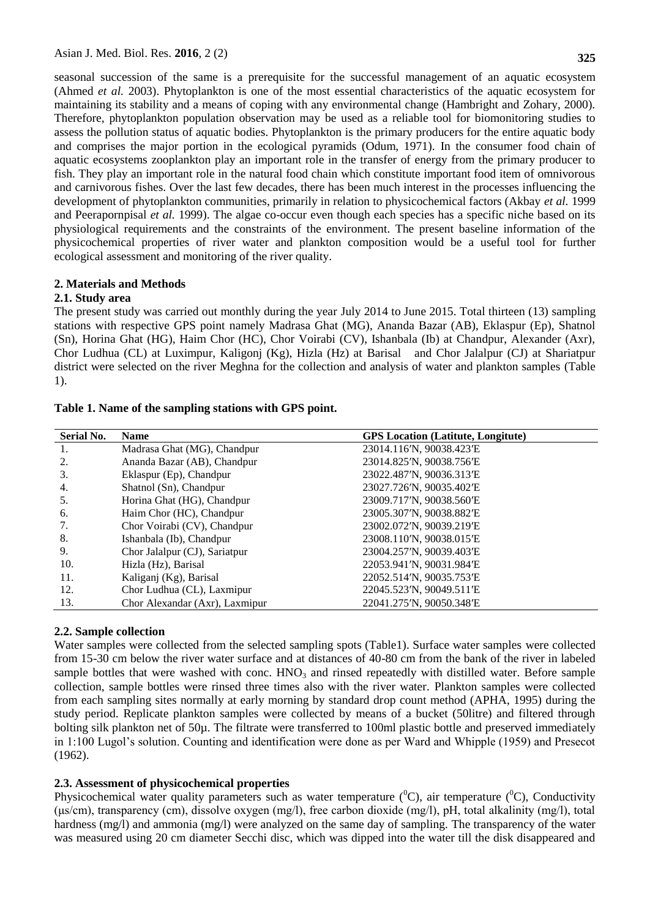seasonal succession of the same is a prerequisite for the successful management of an aquatic ecosystem (Ahmed *et al.* 2003). Phytoplankton is one of the most essential characteristics of the aquatic ecosystem for maintaining its stability and a means of coping with any environmental change (Hambright and Zohary, 2000). Therefore, phytoplankton population observation may be used as a reliable tool for biomonitoring studies to assess the pollution status of aquatic bodies. Phytoplankton is the primary producers for the entire aquatic body and comprises the major portion in the ecological pyramids (Odum, 1971). In the consumer food chain of aquatic ecosystems zooplankton play an important role in the transfer of energy from the primary producer to fish. They play an important role in the natural food chain which constitute important food item of omnivorous and carnivorous fishes. Over the last few decades, there has been much interest in the processes influencing the development of phytoplankton communities, primarily in relation to physicochemical factors (Akbay *et al.* 1999 and Peerapornpisal *et al.* 1999). The algae co-occur even though each species has a specific niche based on its physiological requirements and the constraints of the environment. The present baseline information of the physicochemical properties of river water and plankton composition would be a useful tool for further ecological assessment and monitoring of the river quality.

#### **2. Materials and Methods**

#### **2.1. Study area**

The present study was carried out monthly during the year July 2014 to June 2015. Total thirteen (13) sampling stations with respective GPS point namely Madrasa Ghat (MG), Ananda Bazar (AB), Eklaspur (Ep), Shatnol (Sn), Horina Ghat (HG), Haim Chor (HC), Chor Voirabi (CV), Ishanbala (Ib) at Chandpur, Alexander (Axr), Chor Ludhua (CL) at Luximpur, Kaligonj (Kg), Hizla (Hz) at Barisal and Chor Jalalpur (CJ) at Shariatpur district were selected on the river Meghna for the collection and analysis of water and plankton samples (Table 1).

| <b>Serial No.</b> | <b>Name</b>                    | <b>GPS</b> Location (Latitute, Longitute) |
|-------------------|--------------------------------|-------------------------------------------|
| 1.                | Madrasa Ghat (MG), Chandpur    | 23014.116'N, 90038.423'E                  |
| 2.                | Ananda Bazar (AB), Chandpur    | 23014.825'N, 90038.756'E                  |
| 3.                | Eklaspur (Ep), Chandpur        | 23022.487'N, 90036.313'E                  |
| 4.                | Shatnol (Sn), Chandpur         | 23027.726'N, 90035.402'E                  |
| 5.                | Horina Ghat (HG), Chandpur     | 23009.717'N, 90038.560'E                  |
| 6.                | Haim Chor (HC), Chandpur       | 23005.307'N, 90038.882'E                  |
| 7.                | Chor Voirabi (CV), Chandpur    | 23002.072'N, 90039.219'E                  |
| 8.                | Ishanbala (Ib), Chandpur       | 23008.110'N, 90038.015'E                  |
| 9.                | Chor Jalalpur (CJ), Sariatpur  | 23004.257'N, 90039.403'E                  |
| 10.               | Hizla (Hz), Barisal            | 22053.941'N, 90031.984'E                  |
| 11.               | Kaliganj (Kg), Barisal         | 22052.514'N, 90035.753'E                  |
| 12.               | Chor Ludhua (CL), Laxmipur     | 22045.523'N, 90049.511'E                  |
| 13.               | Chor Alexandar (Axr), Laxmipur | 22041.275'N, 90050.348'E                  |

#### **2.2. Sample collection**

Water samples were collected from the selected sampling spots (Table1). Surface water samples were collected from 15-30 cm below the river water surface and at distances of 40-80 cm from the bank of the river in labeled sample bottles that were washed with conc.  $HNO<sub>3</sub>$  and rinsed repeatedly with distilled water. Before sample collection, sample bottles were rinsed three times also with the river water. Plankton samples were collected from each sampling sites normally at early morning by standard drop count method (APHA, 1995) during the study period. Replicate plankton samples were collected by means of a bucket (50litre) and filtered through bolting silk plankton net of 50µ. The filtrate were transferred to 100ml plastic bottle and preserved immediately in 1:100 Lugol's solution. Counting and identification were done as per Ward and Whipple (1959) and Presecot (1962).

## **2.3. Assessment of physicochemical properties**

Physicochemical water quality parameters such as water temperature ( ${}^{0}C$ ), air temperature ( ${}^{0}C$ ), Conductivity (μs/cm), transparency (cm), dissolve oxygen (mg/l), free carbon dioxide (mg/l), pH, total alkalinity (mg/l), total hardness (mg/l) and ammonia (mg/l) were analyzed on the same day of sampling. The transparency of the water was measured using 20 cm diameter Secchi disc, which was dipped into the water till the disk disappeared and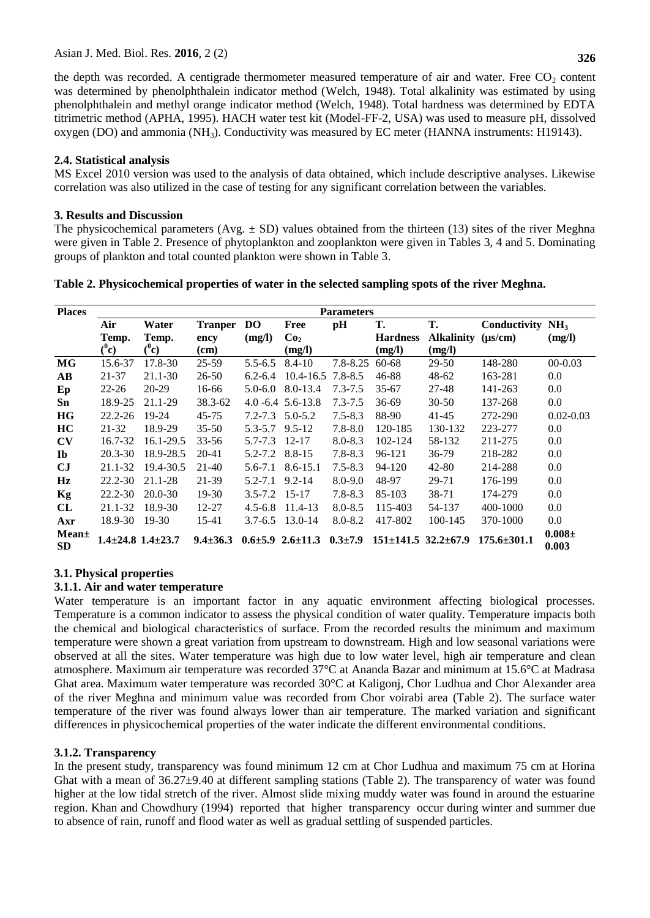the depth was recorded. A centigrade thermometer measured temperature of air and water. Free  $CO<sub>2</sub>$  content was determined by phenolphthalein indicator method (Welch, 1948). Total alkalinity was estimated by using phenolphthalein and methyl orange indicator method (Welch, 1948). Total hardness was determined by EDTA titrimetric method (APHA, 1995). HACH water test kit (Model-FF-2, USA) was used to measure pH, dissolved oxygen (DO) and ammonia (NH3). Conductivity was measured by EC meter (HANNA instruments: H19143).

## **2.4. Statistical analysis**

MS Excel 2010 version was used to the analysis of data obtained, which include descriptive analyses. Likewise correlation was also utilized in the case of testing for any significant correlation between the variables.

## **3. Results and Discussion**

The physicochemical parameters (Avg.  $\pm$  SD) values obtained from the thirteen (13) sites of the river Meghna were given in Table 2. Presence of phytoplankton and zooplankton were given in Tables 3, 4 and 5. Dominating groups of plankton and total counted plankton were shown in Table 3.

**Table 2. Physicochemical properties of water in the selected sampling spots of the river Meghna.** 

| <b>Places</b>          |                             |           |                |             |                                            | <b>Parameters</b> |                                 |                   |                   |                     |
|------------------------|-----------------------------|-----------|----------------|-------------|--------------------------------------------|-------------------|---------------------------------|-------------------|-------------------|---------------------|
|                        | Air                         | Water     | <b>Tranper</b> | DO.         | Free                                       | pH                | Т.                              | Т.                | Conductivity      | NH <sub>3</sub>     |
|                        | Temp.                       | Temp.     | ency           | (mg/l)      | Co <sub>2</sub>                            |                   | <b>Hardness</b>                 | <b>Alkalinity</b> | $(\mu s/cm)$      | (mg/l)              |
|                        | $(^0c)$                     | ("c)      | (cm)           |             | (mg/l)                                     |                   | (mg/l)                          | (mg/l)            |                   |                     |
| MG                     | 15.6-37                     | 17.8-30   | 25-59          | $5.5 - 6.5$ | $8.4 - 10$                                 | $7.8 - 8.25$      | 60-68                           | 29-50             | 148-280           | $00-0.03$           |
| $\mathbf{A}\mathbf{B}$ | 21-37                       | 21.1-30   | 26-50          | $6.2 - 6.4$ | $10.4 - 16.5$                              | $7.8 - 8.5$       | 46-88                           | 48-62             | 163-281           | $0.0\,$             |
| Ep                     | $22 - 26$                   | 20-29     | 16-66          | $5.0 - 6.0$ | 8.0-13.4                                   | $7.3 - 7.5$       | $35 - 67$                       | 27-48             | 141-263           | $0.0\,$             |
| Sn                     | 18.9-25                     | 21.1-29   | 38.3-62        |             | $4.0 - 6.4 \quad 5.6 - 13.8$               | $7.3 - 7.5$       | 36-69                           | $30 - 50$         | 137-268           | $0.0\,$             |
| HG                     | $22.2 - 26$                 | 19-24     | 45-75          | $7.2 - 7.3$ | $5.0 - 5.2$                                | $7.5 - 8.3$       | 88-90                           | 41-45             | 272-290           | $0.02 - 0.03$       |
| <b>HC</b>              | 21-32                       | 18.9-29   | $35 - 50$      | $5.3 - 5.7$ | $9.5 - 12$                                 | $7.8 - 8.0$       | 120-185                         | 130-132           | 223-277           | $0.0\,$             |
| $\mathbf{C}\mathbf{V}$ | 16.7-32                     | 16.1-29.5 | $33 - 56$      | $5.7 - 7.3$ | $12 - 17$                                  | $8.0 - 8.3$       | 102-124                         | 58-132            | 211-275           | $0.0\,$             |
| $\mathbf{I}$           | $20.3 - 30$                 | 18.9-28.5 | 20-41          | $5.2 - 7.2$ | $8.8 - 15$                                 | $7.8 - 8.3$       | 96-121                          | 36-79             | 218-282           | $0.0\,$             |
| $_{\rm CJ}$            | 21.1-32                     | 19.4-30.5 | 21-40          | $5.6 - 7.1$ | $8.6 - 15.1$                               | $7.5 - 8.3$       | 94-120                          | 42-80             | 214-288           | $0.0\,$             |
| Hz                     | 22.2-30                     | 21.1-28   | 21-39          | $5.2 - 7.1$ | $9.2 - 14$                                 | $8.0 - 9.0$       | 48-97                           | 29-71             | 176-199           | $0.0\,$             |
| Kg                     | 22.2-30                     | 20.0-30   | 19-30          | $3.5 - 7.2$ | $15 - 17$                                  | $7.8 - 8.3$       | 85-103                          | 38-71             | 174-279           | $0.0\,$             |
| CL                     | 21.1-32                     | 18.9-30   | $12 - 27$      | $4.5 - 6.8$ | 11.4-13                                    | $8.0 - 8.5$       | 115-403                         | 54-137            | 400-1000          | $0.0\,$             |
| Axr                    | 18.9-30                     | $19-30$   | 15-41          | $3.7 - 6.5$ | 13.0-14                                    | $8.0 - 8.2$       | 417-802                         | 100-145           | 370-1000          | $0.0\,$             |
| Mean±<br><b>SD</b>     | $1.4\pm 24.8$ $1.4\pm 23.7$ |           | $9.4 \pm 36.3$ |             | $0.6 \pm 5.9$ $2.6 \pm 11.3$ $0.3 \pm 7.9$ |                   | $151 \pm 141.5$ $32.2 \pm 67.9$ |                   | $175.6 \pm 301.1$ | $0.008\pm$<br>0.003 |

# **3.1. Physical properties**

## **3.1.1. Air and water temperature**

Water temperature is an important factor in any aquatic environment affecting biological processes. Temperature is a common indicator to assess the physical condition of water quality. Temperature impacts both the chemical and biological characteristics of surface. From the recorded results the minimum and maximum temperature were shown a great variation from upstream to downstream. High and low seasonal variations were observed at all the sites. Water temperature was high due to low water level, high air temperature and clean atmosphere. Maximum air temperature was recorded 37°C at Ananda Bazar and minimum at 15.6°C at Madrasa Ghat area. Maximum water temperature was recorded 30°C at Kaligonj, Chor Ludhua and Chor Alexander area of the river Meghna and minimum value was recorded from Chor voirabi area (Table 2). The surface water temperature of the river was found always lower than air temperature. The marked variation and significant differences in physicochemical properties of the water indicate the different environmental conditions.

## **3.1.2. Transparency**

In the present study, transparency was found minimum 12 cm at Chor Ludhua and maximum 75 cm at Horina Ghat with a mean of 36.27±9.40 at different sampling stations (Table 2). The transparency of water was found higher at the low tidal stretch of the river. Almost slide mixing muddy water was found in around the estuarine region. Khan and Chowdhury (1994) reported that higher transparency occur during winter and summer due to absence of rain, runoff and flood water as well as gradual settling of suspended particles.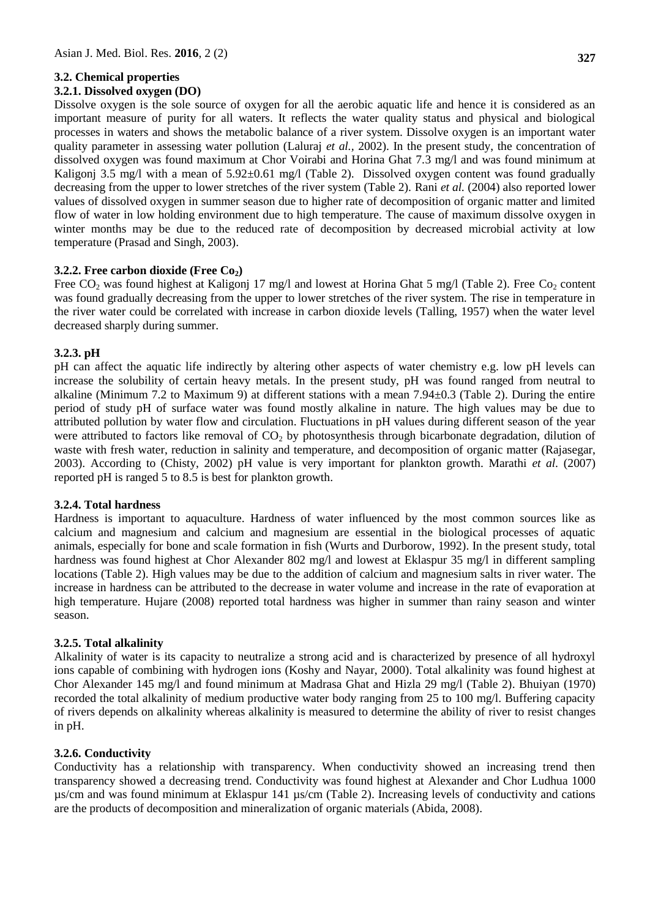## **3.2. Chemical properties**

#### **3.2.1. Dissolved oxygen (DO)**

Dissolve oxygen is the sole source of oxygen for all the aerobic aquatic life and hence it is considered as an important measure of purity for all waters. It reflects the water quality status and physical and biological processes in waters and shows the metabolic balance of a river system. Dissolve oxygen is an important water quality parameter in assessing water pollution (Laluraj *et al.,* 2002). In the present study, the concentration of dissolved oxygen was found maximum at Chor Voirabi and Horina Ghat 7.3 mg/l and was found minimum at Kaligonj 3.5 mg/l with a mean of  $5.92\pm0.61$  mg/l (Table 2). Dissolved oxygen content was found gradually decreasing from the upper to lower stretches of the river system (Table 2). Rani *et al.* (2004) also reported lower values of dissolved oxygen in summer season due to higher rate of decomposition of organic matter and limited flow of water in low holding environment due to high temperature. The cause of maximum dissolve oxygen in winter months may be due to the reduced rate of decomposition by decreased microbial activity at low temperature (Prasad and Singh, 2003).

## **3.2.2. Free carbon dioxide (Free Co2)**

Free CO<sub>2</sub> was found highest at Kaligonj 17 mg/l and lowest at Horina Ghat 5 mg/l (Table 2). Free Co<sub>2</sub> content was found gradually decreasing from the upper to lower stretches of the river system. The rise in temperature in the river water could be correlated with increase in carbon dioxide levels (Talling, 1957) when the water level decreased sharply during summer.

## **3.2.3. pH**

pH can affect the aquatic life indirectly by altering other aspects of water chemistry e.g. low pH levels can increase the solubility of certain heavy metals. In the present study, pH was found ranged from neutral to alkaline (Minimum 7.2 to Maximum 9) at different stations with a mean 7.94±0.3 (Table 2). During the entire period of study pH of surface water was found mostly alkaline in nature. The high values may be due to attributed pollution by water flow and circulation. Fluctuations in pH values during different season of the year were attributed to factors like removal of  $CO<sub>2</sub>$  by photosynthesis through bicarbonate degradation, dilution of waste with fresh water, reduction in salinity and temperature, and decomposition of organic matter (Rajasegar, 2003). According to (Chisty, 2002) pH value is very important for plankton growth. Marathi *et al.* (2007) reported pH is ranged 5 to 8.5 is best for plankton growth.

## **3.2.4. Total hardness**

Hardness is important to aquaculture. Hardness of water influenced by the most common sources like as calcium and magnesium and calcium and magnesium are essential in the biological processes of aquatic animals, especially for bone and scale formation in fish (Wurts and Durborow, 1992). In the present study, total hardness was found highest at Chor Alexander 802 mg/l and lowest at Eklaspur 35 mg/l in different sampling locations (Table 2). High values may be due to the addition of calcium and magnesium salts in river water. The increase in hardness can be attributed to the decrease in water volume and increase in the rate of evaporation at high temperature. Hujare (2008) reported total hardness was higher in summer than rainy season and winter season.

## **3.2.5. Total alkalinity**

Alkalinity of water is its capacity to neutralize a strong acid and is characterized by presence of all hydroxyl ions capable of combining with hydrogen ions (Koshy and Nayar, 2000). Total alkalinity was found highest at Chor Alexander 145 mg/l and found minimum at Madrasa Ghat and Hizla 29 mg/l (Table 2). Bhuiyan (1970) recorded the total alkalinity of medium productive water body ranging from 25 to 100 mg/l. Buffering capacity of rivers depends on alkalinity whereas alkalinity is measured to determine the ability of river to resist changes in pH.

## **3.2.6. Conductivity**

Conductivity has a relationship with transparency. When conductivity showed an increasing trend then transparency showed a decreasing trend. Conductivity was found highest at Alexander and Chor Ludhua 1000 µs/cm and was found minimum at Eklaspur 141 µs/cm (Table 2). Increasing levels of conductivity and cations are the products of decomposition and mineralization of organic materials (Abida, 2008).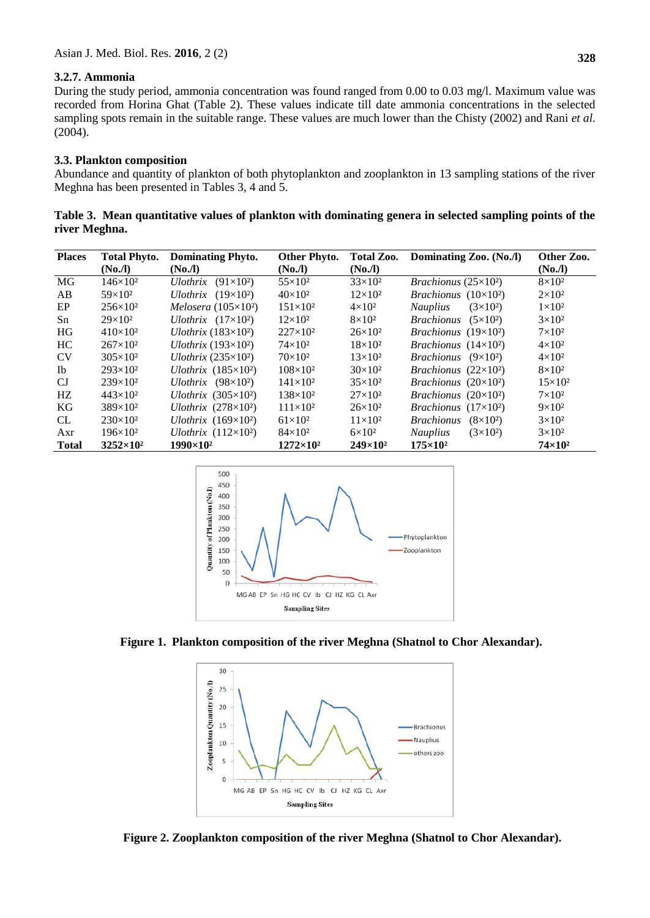## **3.2.7. Ammonia**

During the study period, ammonia concentration was found ranged from 0.00 to 0.03 mg/l. Maximum value was recorded from Horina Ghat (Table 2). These values indicate till date ammonia concentrations in the selected sampling spots remain in the suitable range. These values are much lower than the Chisty (2002) and Rani *et al.* (2004).

#### **3.3. Plankton composition**

Abundance and quantity of plankton of both phytoplankton and zooplankton in 13 sampling stations of the river Meghna has been presented in Tables 3, 4 and 5.

**Table 3. Mean quantitative values of plankton with dominating genera in selected sampling points of the river Meghna.**

| <b>Places</b> | <b>Total Phyto.</b> | <b>Dominating Phyto.</b>          | Other Phyto.       | Total Zoo.        | Dominating Zoo. (No./l)              | Other Zoo.         |
|---------------|---------------------|-----------------------------------|--------------------|-------------------|--------------------------------------|--------------------|
|               | (No <sub>n</sub> )  | (No <sub>n</sub> )                | (No <sub>n</sub> ) | (No,I)            |                                      | (No <sub>n</sub> ) |
| MG            | $146\times10^{2}$   | $(91\times10^2)$<br>Ulothrix      | $55 \times 10^2$   | $33\times10^2$    | <i>Brachionus</i> $(25\times10^2)$   | $8\times10^2$      |
| AB            | $59\times10^{2}$    | Ulothrix $(19\times10^2)$         | $40\times10^2$     | $12\times10^2$    | <i>Brachionus</i> $(10\times10^2)$   | $2\times10^2$      |
| EP            | $256\times10^{2}$   | Melosera $(105\times10^2)$        | $151\times10^{2}$  | $4\times10^2$     | $(3\times10^2)$<br><b>Nauplius</b>   | $1\times10^2$      |
| Sn            | $29\times10^2$      | Ulothrix $(17\times10^2)$         | $12\times10^2$     | $8\times10^2$     | <b>Brachionus</b><br>$(5\times10^2)$ | $3\times10^2$      |
| <b>HG</b>     | $410\times10^{2}$   | <i>Ulothrix</i> $(183\times10^2)$ | $227 \times 10^2$  | $26 \times 10^2$  | <i>Brachionus</i> $(19\times10^2)$   | $7\times10^2$      |
| HC            | $267\times10^{2}$   | Ulothrix $(193\times10^2)$        | $74\times10^2$     | $18\times10^2$    | <i>Brachionus</i> $(14\times10^2)$   | $4\times10^2$      |
| <b>CV</b>     | $305 \times 10^2$   | Ulothrix $(235\times10^2)$        | $70\times10^2$     | $13\times10^2$    | <i>Brachionus</i> $(9\times10^2)$    | $4\times10^2$      |
| <b>Ib</b>     | $293\times10^2$     | Ulothrix $(185\times10^2)$        | $108 \times 10^2$  | $30\times10^2$    | <i>Brachionus</i> $(22\times10^2)$   | $8\times10^2$      |
| $C_{\rm J}$   | $239\times10^{2}$   | Ulothrix $(98\times10^2)$         | $141\times10^{2}$  | $35\times10^2$    | <i>Brachionus</i> $(20\times10^2)$   | $15\times10^2$     |
| HZ.           | $443\times10^{2}$   | Ulothrix $(305\times10^2)$        | $138\times10^2$    | $27\times10^2$    | <i>Brachionus</i> $(20\times10^2)$   | $7\times10^2$      |
| KG            | $389 \times 10^2$   | Ulothrix $(278\times10^2)$        | $111 \times 10^2$  | $26\times10^2$    | <i>Brachionus</i> $(17\times10^2)$   | $9\times10^2$      |
| <b>CL</b>     | $230\times10^2$     | Ulothrix $(169\times10^2)$        | $61\times10^{2}$   | $11\times10^2$    | <b>Brachionus</b><br>$(8\times10^2)$ | $3\times10^2$      |
| Axr           | $196 \times 10^2$   | Ulothrix $(112\times10^2)$        | $84\times10^2$     | $6\times10^2$     | <b>Nauplius</b><br>$(3\times10^2)$   | $3\times10^2$      |
| <b>Total</b>  | $3252\times10^{2}$  | $1990 \times 10^{2}$              | $1272\times10^{2}$ | $249\times10^{2}$ | $175\times10^{2}$                    | $74\times10^2$     |



 **Figure 1. Plankton composition of the river Meghna (Shatnol to Chor Alexandar).**



 **Figure 2. Zooplankton composition of the river Meghna (Shatnol to Chor Alexandar).**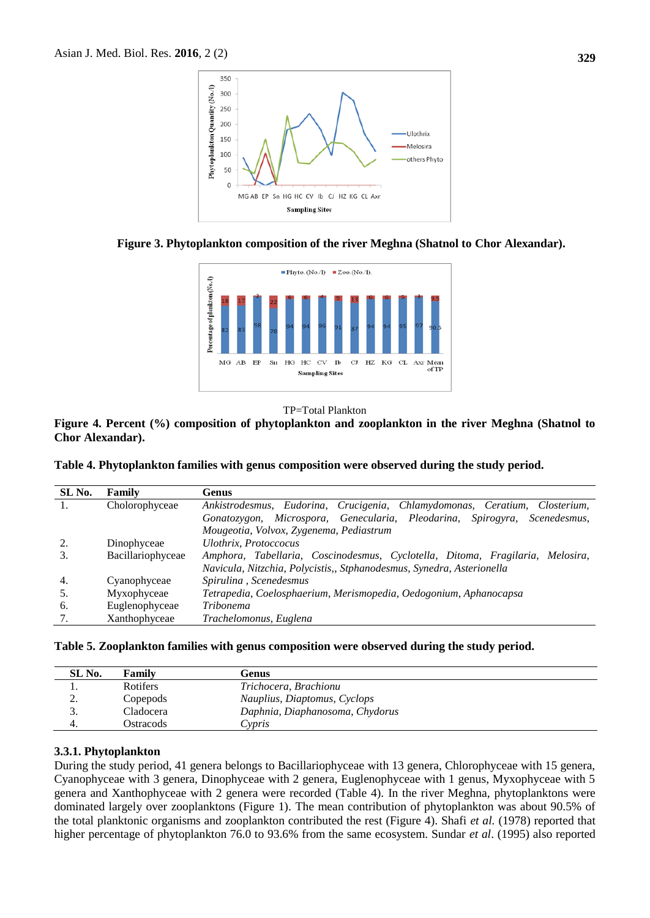





#### TP=Total Plankton

**Figure 4. Percent (%) composition of phytoplankton and zooplankton in the river Meghna (Shatnol to Chor Alexandar).**

|  |  |  | Table 4. Phytoplankton families with genus composition were observed during the study period. |
|--|--|--|-----------------------------------------------------------------------------------------------|
|  |  |  |                                                                                               |

| SL No. | Family            | Genus                                                                                  |
|--------|-------------------|----------------------------------------------------------------------------------------|
|        | Cholorophyceae    | Ankistrodesmus, Eudorina, Crucigenia, Chlamydomonas, Ceratium, Closterium,             |
|        |                   | Microspora, Genecularia, Pleodarina, Spirogyra,<br>Scenedesmus,<br><i>Gonatozygon,</i> |
|        |                   | Mougeotia, Volvox, Zygenema, Pediastrum                                                |
|        | Dinophyceae       | <b>Ulothrix</b> , Protoccocus                                                          |
|        | Bacillariophyceae | Amphora, Tabellaria, Coscinodesmus, Cyclotella, Ditoma, Fragilaria, Melosira,          |
|        |                   | Navicula, Nitzchia, Polycistis,, Stphanodesmus, Synedra, Asterionella                  |
| 4.     | Cyanophyceae      | Spirulina, Scenedesmus                                                                 |
| 5.     | Myxophyceae       | Tetrapedia, Coelosphaerium, Merismopedia, Oedogonium, Aphanocapsa                      |
| 6.     | Euglenophyceae    | <i>Tribonema</i>                                                                       |
|        | Xanthophyceae     | Trachelomonus, Euglena                                                                 |

|  | Table 5. Zooplankton families with genus composition were observed during the study period. |  |  |
|--|---------------------------------------------------------------------------------------------|--|--|
|  |                                                                                             |  |  |

| SL No.   | Family    | Genus                           |
|----------|-----------|---------------------------------|
|          | Rotifers  | Trichocera, Brachionu           |
| <u>.</u> | Copepods  | Nauplius, Diaptomus, Cyclops    |
| ິ.       | Cladocera | Daphnia, Diaphanosoma, Chydorus |
| 4.       | Ostracods | Cypris                          |

#### **3.3.1. Phytoplankton**

During the study period, 41 genera belongs to Bacillariophyceae with 13 genera, Chlorophyceae with 15 genera, Cyanophyceae with 3 genera, Dinophyceae with 2 genera, Euglenophyceae with 1 genus, Myxophyceae with 5 genera and Xanthophyceae with 2 genera were recorded (Table 4). In the river Meghna, phytoplanktons were dominated largely over zooplanktons (Figure 1). The mean contribution of phytoplankton was about 90.5% of the total planktonic organisms and zooplankton contributed the rest (Figure 4). Shafi *et al.* (1978) reported that higher percentage of phytoplankton 76.0 to 93.6% from the same ecosystem. Sundar *et al*. (1995) also reported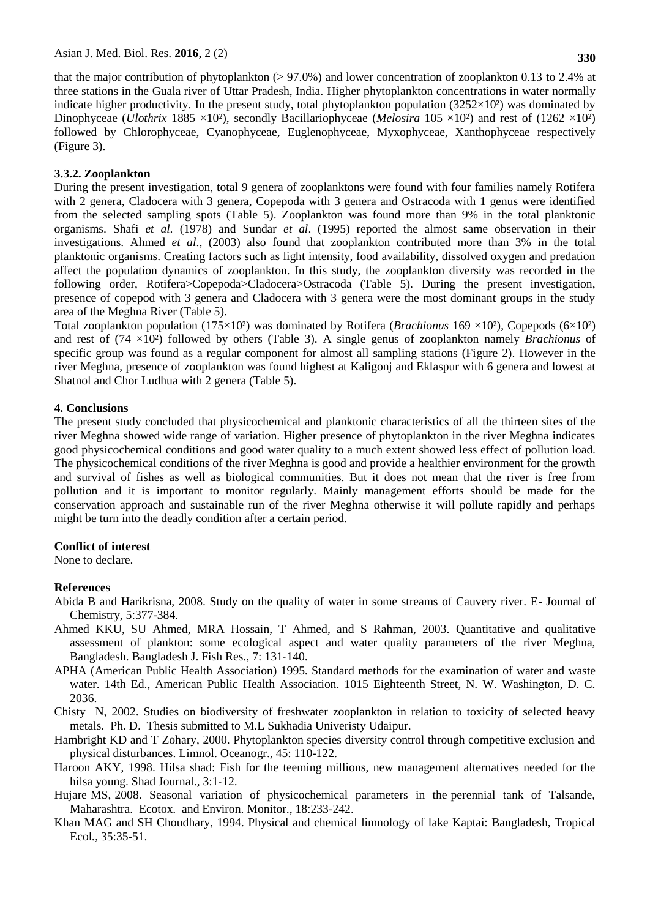that the major contribution of phytoplankton (> 97.0%) and lower concentration of zooplankton 0.13 to 2.4% at three stations in the Guala river of Uttar Pradesh, India. Higher phytoplankton concentrations in water normally indicate higher productivity. In the present study, total phytoplankton population  $(3252\times10^2)$  was dominated by Dinophyceae (*Ulothrix* 1885 ×10²), secondly Bacillariophyceae (*Melosira* 105 ×10²) and rest of (1262 ×10²) followed by Chlorophyceae, Cyanophyceae, Euglenophyceae, Myxophyceae, Xanthophyceae respectively (Figure 3).

## **3.3.2. Zooplankton**

During the present investigation, total 9 genera of zooplanktons were found with four families namely Rotifera with 2 genera, Cladocera with 3 genera, Copepoda with 3 genera and Ostracoda with 1 genus were identified from the selected sampling spots (Table 5). Zooplankton was found more than 9% in the total planktonic organisms. Shafi *et al.* (1978) and Sundar *et al*. (1995) reported the almost same observation in their investigations. Ahmed *et al*., (2003) also found that zooplankton contributed more than 3% in the total planktonic organisms. Creating factors such as light intensity, food availability, dissolved oxygen and predation affect the population dynamics of zooplankton. In this study, the zooplankton diversity was recorded in the following order, Rotifera>Copepoda>Cladocera>Ostracoda (Table 5). During the present investigation, presence of copepod with 3 genera and Cladocera with 3 genera were the most dominant groups in the study area of the Meghna River (Table 5).

Total zooplankton population (175×10²) was dominated by Rotifera (*Brachionus* 169 ×10²), Copepods (6×10²) and rest of (74 ×10²) followed by others (Table 3). A single genus of zooplankton namely *Brachionus* of specific group was found as a regular component for almost all sampling stations (Figure 2). However in the river Meghna, presence of zooplankton was found highest at Kaligonj and Eklaspur with 6 genera and lowest at Shatnol and Chor Ludhua with 2 genera (Table 5).

#### **4. Conclusions**

The present study concluded that physicochemical and planktonic characteristics of all the thirteen sites of the river Meghna showed wide range of variation. Higher presence of phytoplankton in the river Meghna indicates good physicochemical conditions and good water quality to a much extent showed less effect of pollution load. The physicochemical conditions of the river Meghna is good and provide a healthier environment for the growth and survival of fishes as well as biological communities. But it does not mean that the river is free from pollution and it is important to monitor regularly. Mainly management efforts should be made for the conservation approach and sustainable run of the river Meghna otherwise it will pollute rapidly and perhaps might be turn into the deadly condition after a certain period.

## **Conflict of interest**

None to declare.

## **References**

- Abida B and Harikrisna, 2008. Study on the quality of water in some streams of Cauvery river. E- Journal of Chemistry, 5:377-384.
- Ahmed KKU, SU Ahmed, MRA Hossain, T Ahmed, and S Rahman, 2003. Quantitative and qualitative assessment of plankton: some ecological aspect and water quality parameters of the river Meghna, Bangladesh. Bangladesh J. Fish Res., 7: 131‐140.
- APHA (American Public Health Association) 1995. Standard methods for the examination of water and waste water. 14th Ed., American Public Health Association. 1015 Eighteenth Street, N. W. Washington, D. C. 2036.
- Chisty N, 2002. Studies on biodiversity of freshwater zooplankton in relation to toxicity of selected heavy metals. Ph. D. Thesis submitted to M.L Sukhadia Univeristy Udaipur.
- Hambright KD and T Zohary, 2000. Phytoplankton species diversity control through competitive exclusion and physical disturbances. Limnol. Oceanogr., 45: 110-122.
- Haroon AKY, 1998. Hilsa shad: Fish for the teeming millions, new management alternatives needed for the hilsa young. Shad Journal.*,* 3:1‐12.
- Hujare MS, 2008. Seasonal variation of physicochemical parameters in the perennial tank of Talsande, Maharashtra. Ecotox. and Environ. Monitor., 18:233-242.
- Khan MAG and SH Choudhary, 1994. Physical and chemical limnology of lake Kaptai: Bangladesh, Tropical Ecol*.*, 35:35-51.